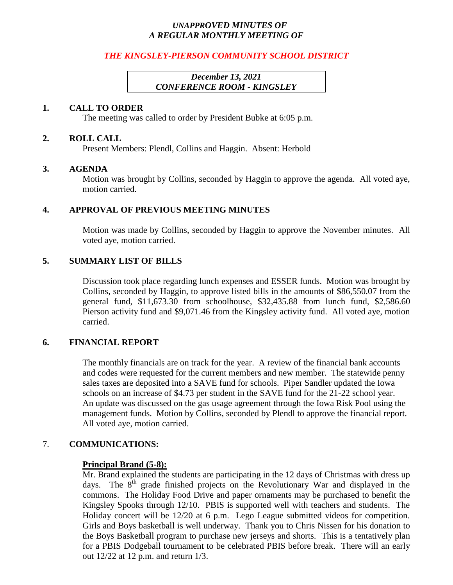## *UNAPPROVED MINUTES OF A REGULAR MONTHLY MEETING OF*

## *THE KINGSLEY-PIERSON COMMUNITY SCHOOL DISTRICT*

## *December 13, 2021 CONFERENCE ROOM - KINGSLEY*

### **1. CALL TO ORDER**

The meeting was called to order by President Bubke at 6:05 p.m.

#### **2. ROLL CALL**

Present Members: Plendl, Collins and Haggin. Absent: Herbold

#### **3. AGENDA**

Motion was brought by Collins, seconded by Haggin to approve the agenda. All voted aye, motion carried.

### **4. APPROVAL OF PREVIOUS MEETING MINUTES**

Motion was made by Collins, seconded by Haggin to approve the November minutes. All voted aye, motion carried.

### **5. SUMMARY LIST OF BILLS**

Discussion took place regarding lunch expenses and ESSER funds. Motion was brought by Collins, seconded by Haggin, to approve listed bills in the amounts of \$86,550.07 from the general fund, \$11,673.30 from schoolhouse, \$32,435.88 from lunch fund, \$2,586.60 Pierson activity fund and \$9,071.46 from the Kingsley activity fund. All voted aye, motion carried.

## **6. FINANCIAL REPORT**

The monthly financials are on track for the year. A review of the financial bank accounts and codes were requested for the current members and new member. The statewide penny sales taxes are deposited into a SAVE fund for schools. Piper Sandler updated the Iowa schools on an increase of \$4.73 per student in the SAVE fund for the 21-22 school year. An update was discussed on the gas usage agreement through the Iowa Risk Pool using the management funds. Motion by Collins, seconded by Plendl to approve the financial report. All voted aye, motion carried.

## 7. **COMMUNICATIONS:**

#### **Principal Brand (5-8):**

Mr. Brand explained the students are participating in the 12 days of Christmas with dress up days. The  $8<sup>th</sup>$  grade finished projects on the Revolutionary War and displayed in the commons. The Holiday Food Drive and paper ornaments may be purchased to benefit the Kingsley Spooks through 12/10. PBIS is supported well with teachers and students. The Holiday concert will be 12/20 at 6 p.m. Lego League submitted videos for competition. Girls and Boys basketball is well underway. Thank you to Chris Nissen for his donation to the Boys Basketball program to purchase new jerseys and shorts. This is a tentatively plan for a PBIS Dodgeball tournament to be celebrated PBIS before break. There will an early out 12/22 at 12 p.m. and return 1/3.